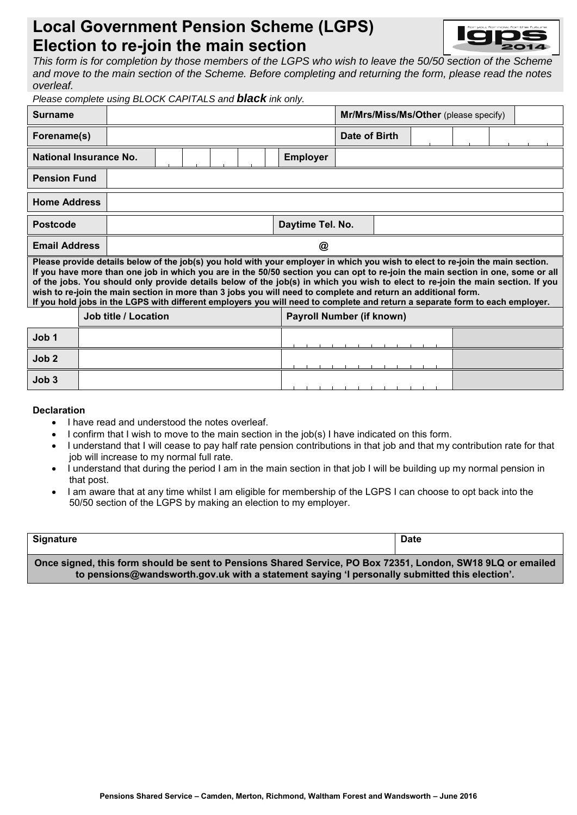# **Local Government Pension Scheme (LGPS) Election to re-join the main section**



*This form is for completion by those members of the LGPS who wish to leave the 50/50 section of the Scheme and move to the main section of the Scheme. Before completing and returning the form, please read the notes overleaf.*

| Please complete using BLOCK CAPITALS and <b>black</b> ink only.                                                                                                                                                                                                                                                                                                                                                                                                                                                                                                                                                                                       |                             |   |  |  |  |  |                                  |                  |               |                                       |  |  |  |  |  |  |
|-------------------------------------------------------------------------------------------------------------------------------------------------------------------------------------------------------------------------------------------------------------------------------------------------------------------------------------------------------------------------------------------------------------------------------------------------------------------------------------------------------------------------------------------------------------------------------------------------------------------------------------------------------|-----------------------------|---|--|--|--|--|----------------------------------|------------------|---------------|---------------------------------------|--|--|--|--|--|--|
| <b>Surname</b>                                                                                                                                                                                                                                                                                                                                                                                                                                                                                                                                                                                                                                        |                             |   |  |  |  |  |                                  |                  |               | Mr/Mrs/Miss/Ms/Other (please specify) |  |  |  |  |  |  |
| Forename(s)                                                                                                                                                                                                                                                                                                                                                                                                                                                                                                                                                                                                                                           |                             |   |  |  |  |  |                                  |                  | Date of Birth |                                       |  |  |  |  |  |  |
| National Insurance No.                                                                                                                                                                                                                                                                                                                                                                                                                                                                                                                                                                                                                                |                             |   |  |  |  |  |                                  | <b>Employer</b>  |               |                                       |  |  |  |  |  |  |
| <b>Pension Fund</b>                                                                                                                                                                                                                                                                                                                                                                                                                                                                                                                                                                                                                                   |                             |   |  |  |  |  |                                  |                  |               |                                       |  |  |  |  |  |  |
| <b>Home Address</b>                                                                                                                                                                                                                                                                                                                                                                                                                                                                                                                                                                                                                                   |                             |   |  |  |  |  |                                  |                  |               |                                       |  |  |  |  |  |  |
| <b>Postcode</b>                                                                                                                                                                                                                                                                                                                                                                                                                                                                                                                                                                                                                                       |                             |   |  |  |  |  |                                  | Daytime Tel. No. |               |                                       |  |  |  |  |  |  |
| <b>Email Address</b>                                                                                                                                                                                                                                                                                                                                                                                                                                                                                                                                                                                                                                  |                             | @ |  |  |  |  |                                  |                  |               |                                       |  |  |  |  |  |  |
| Please provide details below of the job(s) you hold with your employer in which you wish to elect to re-join the main section.<br>If you have more than one job in which you are in the 50/50 section you can opt to re-join the main section in one, some or all<br>of the jobs. You should only provide details below of the job(s) in which you wish to elect to re-join the main section. If you<br>wish to re-join the main section in more than 3 jobs you will need to complete and return an additional form.<br>If you hold jobs in the LGPS with different employers you will need to complete and return a separate form to each employer. |                             |   |  |  |  |  |                                  |                  |               |                                       |  |  |  |  |  |  |
|                                                                                                                                                                                                                                                                                                                                                                                                                                                                                                                                                                                                                                                       | <b>Job title / Location</b> |   |  |  |  |  | <b>Payroll Number (if known)</b> |                  |               |                                       |  |  |  |  |  |  |
| Job 1                                                                                                                                                                                                                                                                                                                                                                                                                                                                                                                                                                                                                                                 |                             |   |  |  |  |  |                                  |                  |               |                                       |  |  |  |  |  |  |
| Job <sub>2</sub>                                                                                                                                                                                                                                                                                                                                                                                                                                                                                                                                                                                                                                      |                             |   |  |  |  |  |                                  |                  |               |                                       |  |  |  |  |  |  |
| Job 3                                                                                                                                                                                                                                                                                                                                                                                                                                                                                                                                                                                                                                                 |                             |   |  |  |  |  |                                  |                  |               |                                       |  |  |  |  |  |  |

#### **Declaration**

- I have read and understood the notes overleaf.
- I confirm that I wish to move to the main section in the job(s) I have indicated on this form.
- I understand that I will cease to pay half rate pension contributions in that job and that my contribution rate for that job will increase to my normal full rate.
- I understand that during the period I am in the main section in that job I will be building up my normal pension in that post.
- I am aware that at any time whilst I am eligible for membership of the LGPS I can choose to opt back into the 50/50 section of the LGPS by making an election to my employer.

| <b>Signature</b>                                                                                                                                                                                             | <b>Date</b> |  |  |  |  |
|--------------------------------------------------------------------------------------------------------------------------------------------------------------------------------------------------------------|-------------|--|--|--|--|
| Once signed, this form should be sent to Pensions Shared Service, PO Box 72351, London, SW18 9LQ or emailed<br>to pensions@wandsworth.gov.uk with a statement saying 'I personally submitted this election'. |             |  |  |  |  |